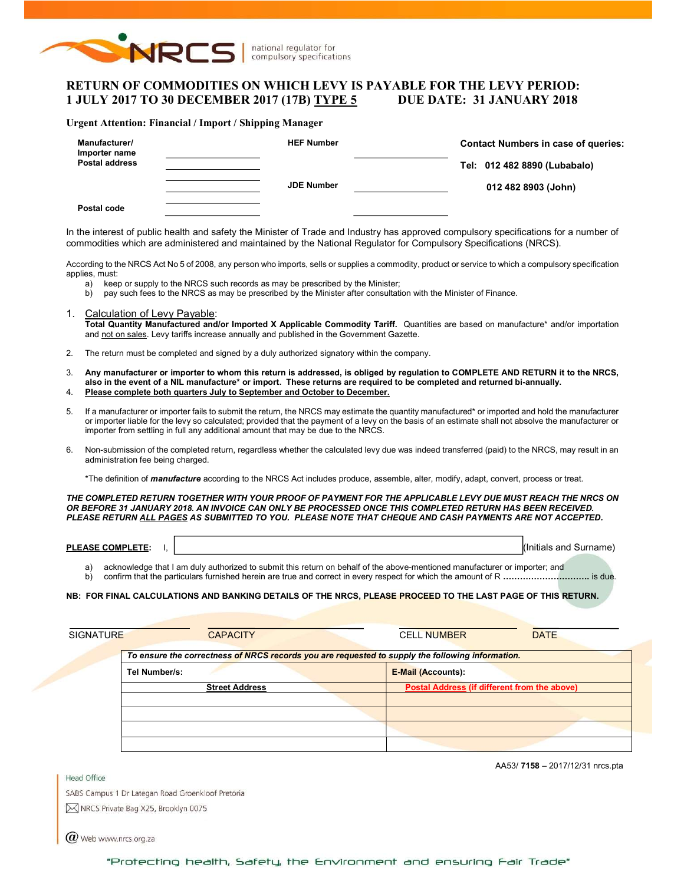

# RETURN OF COMMODITIES ON WHICH LEVY IS PAYABLE FOR THE LEVY PERIOD: 1 JULY 2017 TO 30 DECEMBER 2017 (17B) TYPE 5 DUE DATE: 31 JANUARY 2018

Urgent Attention: Financial / Import / Shipping Manager

| Manufacturer/<br>Importer name | <b>HEF Number</b> | <b>Contact Numbers in case of queries:</b>          |
|--------------------------------|-------------------|-----------------------------------------------------|
| <b>Postal address</b>          | <b>JDE Number</b> | Tel: 012 482 8890 (Lubabalo)<br>012 482 8903 (John) |
| Postal code                    |                   |                                                     |

In the interest of public health and safety the Minister of Trade and Industry has approved compulsory specifications for a number of commodities which are administered and maintained by the National Regulator for Compulsory Specifications (NRCS).

According to the NRCS Act No 5 of 2008, any person who imports, sells or supplies a commodity, product or service to which a compulsory specification applies, must:

- a) keep or supply to the NRCS such records as may be prescribed by the Minister;
- b) pay such fees to the NRCS as may be prescribed by the Minister after consultation with the Minister of Finance.
- 1. Calculation of Levy Payable:

Total Quantity Manufactured and/or Imported X Applicable Commodity Tariff. Quantities are based on manufacture\* and/or importation and not on sales. Levy tariffs increase annually and published in the Government Gazette.

- 2. The return must be completed and signed by a duly authorized signatory within the company.
- 3. Any manufacturer or importer to whom this return is addressed, is obliged by regulation to COMPLETE AND RETURN it to the NRCS, also in the event of a NIL manufacture\* or import. These returns are required to be completed and returned bi-annually.
- 4. Please complete both quarters July to September and October to December.
- 5. If a manufacturer or importer fails to submit the return, the NRCS may estimate the quantity manufactured\* or imported and hold the manufacturer or importer liable for the levy so calculated; provided that the payment of a levy on the basis of an estimate shall not absolve the manufacturer or importer from settling in full any additional amount that may be due to the NRCS.
- 6. Non-submission of the completed return, regardless whether the calculated levy due was indeed transferred (paid) to the NRCS, may result in an administration fee being charged.

\*The definition of manufacture according to the NRCS Act includes produce, assemble, alter, modify, adapt, convert, process or treat.

THE COMPLETED RETURN TOGETHER WITH YOUR PROOF OF PAYMENT FOR THE APPLICABLE LEVY DUE MUST REACH THE NRCS ON OR BEFORE 31 JANUARY 2018. AN INVOICE CAN ONLY BE PROCESSED ONCE THIS COMPLETED RETURN HAS BEEN RECEIVED. PLEASE RETURN ALL PAGES AS SUBMITTED TO YOU. PLEASE NOTE THAT CHEQUE AND CASH PAYMENTS ARE NOT ACCEPTED.

| <b>PLEASE COMPLETE</b><br>LE IE: | <sup>V</sup> Initials<br>and<br>⊰⊔rnam<br>пе |
|----------------------------------|----------------------------------------------|
|                                  |                                              |

a) acknowledge that I am duly authorized to submit this return on behalf of the above-mentioned manufacturer or importer; and

b) confirm that the particulars furnished herein are true and correct in every respect for which the amount of R …………………………………… is due.

NB: FOR FINAL CALCULATIONS AND BANKING DETAILS OF THE NRCS, PLEASE PROCEED TO THE LAST PAGE OF THIS RETURN.

| <b>SIGNATURE</b> | <b>CAPACITY</b>                                                                                  | <b>CELL NUMBER</b>                           | <b>DATE</b> |
|------------------|--------------------------------------------------------------------------------------------------|----------------------------------------------|-------------|
|                  | To ensure the correctness of NRCS records you are requested to supply the following information. |                                              |             |
| Tel Number/s:    |                                                                                                  | <b>E-Mail (Accounts):</b>                    |             |
|                  | <b>Street Address</b>                                                                            | Postal Address (if different from the above) |             |
|                  |                                                                                                  |                                              |             |
|                  |                                                                                                  |                                              |             |
|                  |                                                                                                  |                                              |             |
|                  |                                                                                                  |                                              |             |

AA53/ 7158 – 2017/12/31 nrcs.pta

**Head Office** SABS Campus 1 Dr Lategan Road Groenkloof Pretoria M NRCS Private Bag X25, Brooklyn 0075

 $\varnothing$  Web www.nrcs.org.za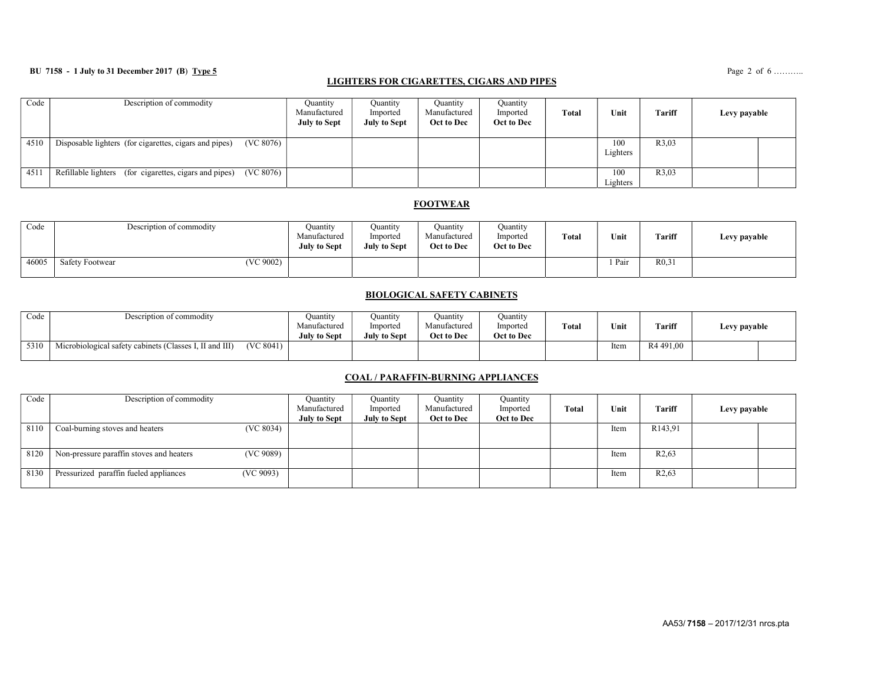#### **BU 7158 - 1 July to 31 December 2017 (B)**  $T$ **ype 5** Page 2 of 6 ……….

#### LIGHTERS FOR CIGARETTES, CIGARS AND PIPES

| Code | Description of commodity                                            | Quantity<br>Manufactured<br><b>July to Sept</b> | Quantity<br>Imported<br>July to Sept | Quantity<br>Manufactured<br>Oct to Dec | Quantity<br>Imported<br>Oct to Dec | Total | Unit            | Tariff | Levy payable |
|------|---------------------------------------------------------------------|-------------------------------------------------|--------------------------------------|----------------------------------------|------------------------------------|-------|-----------------|--------|--------------|
| 4510 | (VC 8076)<br>Disposable lighters (for cigarettes, cigars and pipes) |                                                 |                                      |                                        |                                    |       | 100<br>Lighters | R3,03  |              |
| 4511 | (VC 8076)<br>Refillable lighters (for cigarettes, cigars and pipes) |                                                 |                                      |                                        |                                    |       | 100<br>Lighters | R3,03  |              |

#### **FOOTWEAR**

| Code  | Description of commodity            | Quantity<br>Manufactured<br><b>July to Sept</b> | Quantity<br>Imported<br><b>July to Sept</b> | Ouantity<br>Manufactured<br><b>Oct to Dec</b> | Quantity<br>Imported<br>Oct to Dec | Total | Unit | Tariff             | Levy payable |
|-------|-------------------------------------|-------------------------------------------------|---------------------------------------------|-----------------------------------------------|------------------------------------|-------|------|--------------------|--------------|
| 46005 | (VC 9002)<br><b>Safety Footwear</b> |                                                 |                                             |                                               |                                    |       | Pair | R <sub>0</sub> .31 |              |

#### BIOLOGICAL SAFETY CABINETS

| Code | Description of commodity                                             | <b>Ouantity</b><br>Manufactured<br><b>July to Sept</b> | Ouantitv<br>Imported<br><b>July to Sept</b> | Ouantity<br>Manufactured<br>Oct to Dec | Quantity<br>Imported<br>Oct to Dec | Total | Unit | <b>Tariff</b>         | Levy payable |
|------|----------------------------------------------------------------------|--------------------------------------------------------|---------------------------------------------|----------------------------------------|------------------------------------|-------|------|-----------------------|--------------|
| 5310 | (VC 8041)<br>Microbiological safety cabinets (Classes I, II and III) |                                                        |                                             |                                        |                                    |       | Item | R <sub>4</sub> 491.00 |              |

#### COAL / PARAFFIN-BURNING APPLIANCES

| Code | Description of commodity                              | Quantity            | Quantity            | Ouantity     | Quantity   |       |      |                      |              |  |
|------|-------------------------------------------------------|---------------------|---------------------|--------------|------------|-------|------|----------------------|--------------|--|
|      |                                                       | Manufactured        | Imported            | Manufactured | Imported   | Total | Unit | <b>Tariff</b>        | Levy payable |  |
|      |                                                       | <b>July to Sept</b> | <b>July to Sept</b> | Oct to Dec   | Oct to Dec |       |      |                      |              |  |
| 8110 | (VC 8034)<br>Coal-burning stoves and heaters          |                     |                     |              |            |       | Item | R <sub>143</sub> ,91 |              |  |
|      |                                                       |                     |                     |              |            |       |      |                      |              |  |
| 8120 | (VC 9089)<br>Non-pressure paraffin stoves and heaters |                     |                     |              |            |       | Item | R <sub>2</sub> ,63   |              |  |
| 8130 | Pressurized paraffin fueled appliances<br>(VC 9093)   |                     |                     |              |            |       | Item | R2,63                |              |  |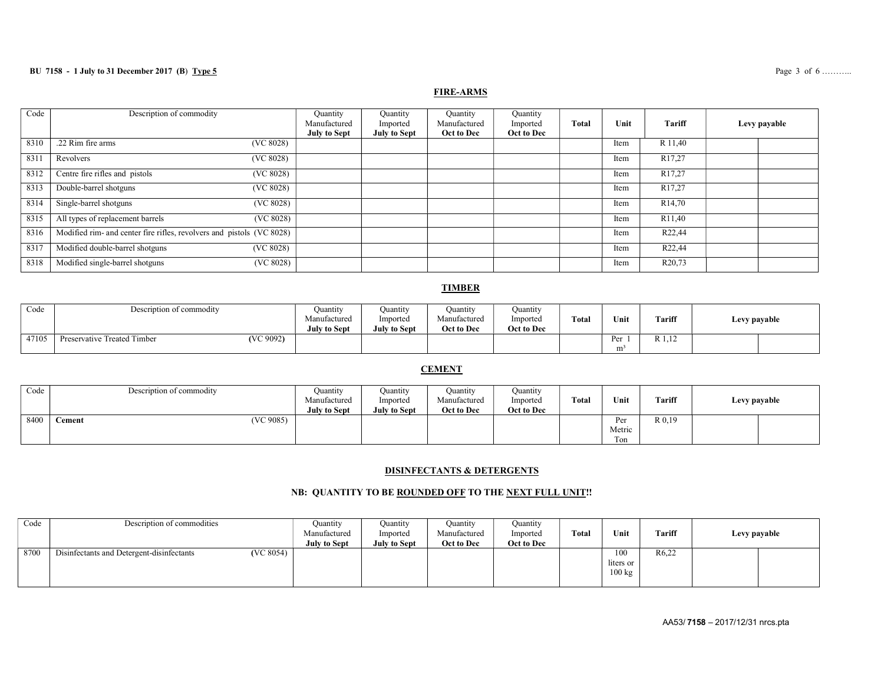#### **BU 7158 - 1 July to 31 December 2017 (B) Type 5** Page 3 of 6 ..........

#### FIRE-ARMS

| Code | Description of commodity                                              | Quantity<br>Manufactured<br><b>July to Sept</b> | Quantity<br>Imported<br><b>July to Sept</b> | Quantity<br>Manufactured<br>Oct to Dec | Quantity<br>Imported<br>Oct to Dec | <b>Total</b> | Unit | Tariff              | Levy payable |
|------|-----------------------------------------------------------------------|-------------------------------------------------|---------------------------------------------|----------------------------------------|------------------------------------|--------------|------|---------------------|--------------|
| 8310 | .22 Rim fire arms<br>(VC 8028)                                        |                                                 |                                             |                                        |                                    |              | Item | R 11,40             |              |
| 8311 | (VC 8028)<br>Revolvers                                                |                                                 |                                             |                                        |                                    |              | Item | R <sub>17,27</sub>  |              |
| 8312 | Centre fire rifles and pistols<br>(VC 8028)                           |                                                 |                                             |                                        |                                    |              | Item | R <sub>17,27</sub>  |              |
| 8313 | Double-barrel shotguns<br>(VC 8028)                                   |                                                 |                                             |                                        |                                    |              | Item | R17,27              |              |
| 8314 | Single-barrel shotguns<br>(VC 8028)                                   |                                                 |                                             |                                        |                                    |              | Item | R <sub>14,70</sub>  |              |
| 8315 | All types of replacement barrels<br>(VC 8028)                         |                                                 |                                             |                                        |                                    |              | Item | R <sub>11</sub> ,40 |              |
| 8316 | Modified rim- and center fire rifles, revolvers and pistols (VC 8028) |                                                 |                                             |                                        |                                    |              | Item | R22,44              |              |
| 8317 | Modified double-barrel shotguns<br>(VC 8028)                          |                                                 |                                             |                                        |                                    |              | Item | R22,44              |              |
| 8318 | Modified single-barrel shotguns<br>(VC 8028)                          |                                                 |                                             |                                        |                                    |              | Item | R <sub>20</sub> ,73 |              |

## **TIMBER**

| Code  | Description of commodity    |          | Quantity<br>Manufactured<br><b>July to Sept</b> | Quantity<br>Imported<br><b>July to Sept</b> | Ouantity<br>Manufactured<br><b>Oct to Dec</b> | Ouantıty<br>Imported<br><b>Oct to Dec</b> | Total | Unit                          | <b>Tariff</b> | Levy payable |  |
|-------|-----------------------------|----------|-------------------------------------------------|---------------------------------------------|-----------------------------------------------|-------------------------------------------|-------|-------------------------------|---------------|--------------|--|
| 47105 | Preservative Treated Timber | VC 9092) |                                                 |                                             |                                               |                                           |       | $\Gamma$ CI<br>m <sup>3</sup> | 11.12         |              |  |

## **CEMENT**

| Code | Description of commodity | Quantity            | Ouantity            | Ouantity     | Quantity   |              |           |               |              |
|------|--------------------------|---------------------|---------------------|--------------|------------|--------------|-----------|---------------|--------------|
|      |                          | Manufactured        | Imported            | Manufactured | Imported   | <b>Total</b> | Unit      | <b>Tariff</b> | Levy payable |
|      |                          | <b>July to Sept</b> | <b>July to Sept</b> | Oct to Dec   | Oct to Dec |              |           |               |              |
| 8400 | (VC 9085)<br>Cement      |                     |                     |              |            |              | Per       | R 0,19        |              |
|      |                          |                     |                     |              |            |              | Metric    |               |              |
|      |                          |                     |                     |              |            |              | n.<br>Ton |               |              |

#### DISINFECTANTS & DETERGENTS

#### NB: QUANTITY TO BE ROUNDED OFF TO THE NEXT FULL UNIT!!

| Code | Description of commodities                             | Quantity<br>Manufactured<br><b>July to Sept</b> | Quantity<br>Imported<br><b>July to Sept</b> | Quantity<br>Manufactured<br>Oct to Dec | Quantity<br>Imported<br>Oct to Dec | <b>Total</b> | Unit                                 | Tariff             | Levy payable |  |
|------|--------------------------------------------------------|-------------------------------------------------|---------------------------------------------|----------------------------------------|------------------------------------|--------------|--------------------------------------|--------------------|--------------|--|
| 8700 | (VC 8054)<br>Disinfectants and Detergent-disinfectants |                                                 |                                             |                                        |                                    |              | 100<br>liters or<br>$100 \text{ kg}$ | R <sub>6</sub> ,22 |              |  |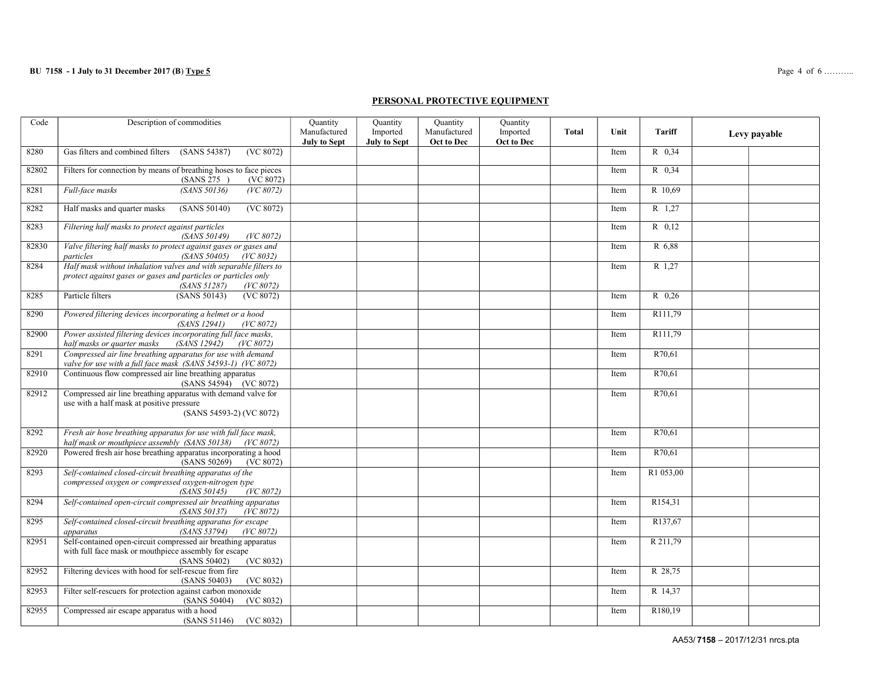#### PERSONAL PROTECTIVE EQUIPMENT

| Code  | Description of commodities                                                                                                                                              | Quantity<br>Manufactured<br><b>July to Sept</b> | Quantity<br>Imported<br><b>July to Sept</b> | Quantity<br>Manufactured<br>Oct to Dec | Quantity<br>Imported<br>Oct to Dec | <b>Total</b> | Unit | Tariff    | Levy payable |
|-------|-------------------------------------------------------------------------------------------------------------------------------------------------------------------------|-------------------------------------------------|---------------------------------------------|----------------------------------------|------------------------------------|--------------|------|-----------|--------------|
| 8280  | Gas filters and combined filters<br>(SANS 54387)<br>(VC 8072)                                                                                                           |                                                 |                                             |                                        |                                    |              | Item | R 0.34    |              |
| 82802 | Filters for connection by means of breathing hoses to face pieces<br>(SANS 275)<br>(VC 8072)                                                                            |                                                 |                                             |                                        |                                    |              | Item | R 0,34    |              |
| 8281  | Full-face masks<br>(SANS 50136)<br>(VC 8072)                                                                                                                            |                                                 |                                             |                                        |                                    |              | Item | R 10,69   |              |
| 8282  | Half masks and quarter masks<br>(SANS 50140)<br>(VC 8072)                                                                                                               |                                                 |                                             |                                        |                                    |              | Item | $R$ 1,27  |              |
| 8283  | Filtering half masks to protect against particles<br>(SANS 50149)<br>(VC 8072)                                                                                          |                                                 |                                             |                                        |                                    |              | Item | $R$ 0.12  |              |
| 82830 | Valve filtering half masks to protect against gases or gases and<br>(SANS 50405)<br>particles<br>(VC 8032)                                                              |                                                 |                                             |                                        |                                    |              | Item | R 6,88    |              |
| 8284  | Half mask without inhalation valves and with separable filters to<br>protect against gases or gases and particles or particles only<br><i>(SANS 51287)</i><br>(VC 8072) |                                                 |                                             |                                        |                                    |              | Item | $R$ 1,27  |              |
| 8285  | Particle filters<br>(SANS 50143)<br>(VC 8072)                                                                                                                           |                                                 |                                             |                                        |                                    |              | Item | R 0.26    |              |
| 8290  | Powered filtering devices incorporating a helmet or a hood<br>(SANS 12941)<br>(VC 8072)                                                                                 |                                                 |                                             |                                        |                                    |              | Item | R111,79   |              |
| 82900 | Power assisted filtering devices incorporating full face masks,<br>half masks or quarter masks (SANS 12942) (VC 8072)                                                   |                                                 |                                             |                                        |                                    |              | Item | R111,79   |              |
| 8291  | Compressed air line breathing apparatus for use with demand<br>valve for use with a full face mask (SANS 54593-1) (VC 8072)                                             |                                                 |                                             |                                        |                                    |              | Item | R70,61    |              |
| 82910 | Continuous flow compressed air line breathing apparatus<br>(SANS 54594) (VC 8072)                                                                                       |                                                 |                                             |                                        |                                    |              | Item | R70,61    |              |
| 82912 | Compressed air line breathing apparatus with demand valve for<br>use with a half mask at positive pressure<br>(SANS 54593-2) (VC 8072)                                  |                                                 |                                             |                                        |                                    |              | Item | R70,61    |              |
| 8292  | Fresh air hose breathing apparatus for use with full face mask,<br>half mask or mouthpiece assembly (SANS 50138) (VC 8072)                                              |                                                 |                                             |                                        |                                    |              | Item | R70,61    |              |
| 82920 | Powered fresh air hose breathing apparatus incorporating a hood<br>(SANS 50269)<br>(VC 8072)                                                                            |                                                 |                                             |                                        |                                    |              | Item | R70,61    |              |
| 8293  | Self-contained closed-circuit breathing apparatus of the<br>compressed oxygen or compressed oxygen-nitrogen type<br>(SANS 50145)<br>(VC 8072)                           |                                                 |                                             |                                        |                                    |              | Item | R1 053,00 |              |
| 8294  | Self-contained open-circuit compressed air breathing apparatus<br>(SANS 50137)<br>(VC 8072)                                                                             |                                                 |                                             |                                        |                                    |              | Item | R154,31   |              |
| 8295  | Self-contained closed-circuit breathing apparatus for escape<br>(SANS 53794)<br>apparatus<br>(VC 8072)                                                                  |                                                 |                                             |                                        |                                    |              | Item | R137,67   |              |
| 82951 | Self-contained open-circuit compressed air breathing apparatus<br>with full face mask or mouthpiece assembly for escape<br>(SANS 50402)<br>(VC 8032)                    |                                                 |                                             |                                        |                                    |              | Item | R 211,79  |              |
| 82952 | Filtering devices with hood for self-rescue from fire<br>(SANS 50403)<br>(VC 8032)                                                                                      |                                                 |                                             |                                        |                                    |              | Item | R 28,75   |              |
| 82953 | Filter self-rescuers for protection against carbon monoxide<br>(SANS 50404)<br>(VC 8032)                                                                                |                                                 |                                             |                                        |                                    |              | Item | R 14,37   |              |
| 82955 | Compressed air escape apparatus with a hood<br>(VC 8032)<br>(SANS 51146)                                                                                                |                                                 |                                             |                                        |                                    |              | Item | R180,19   |              |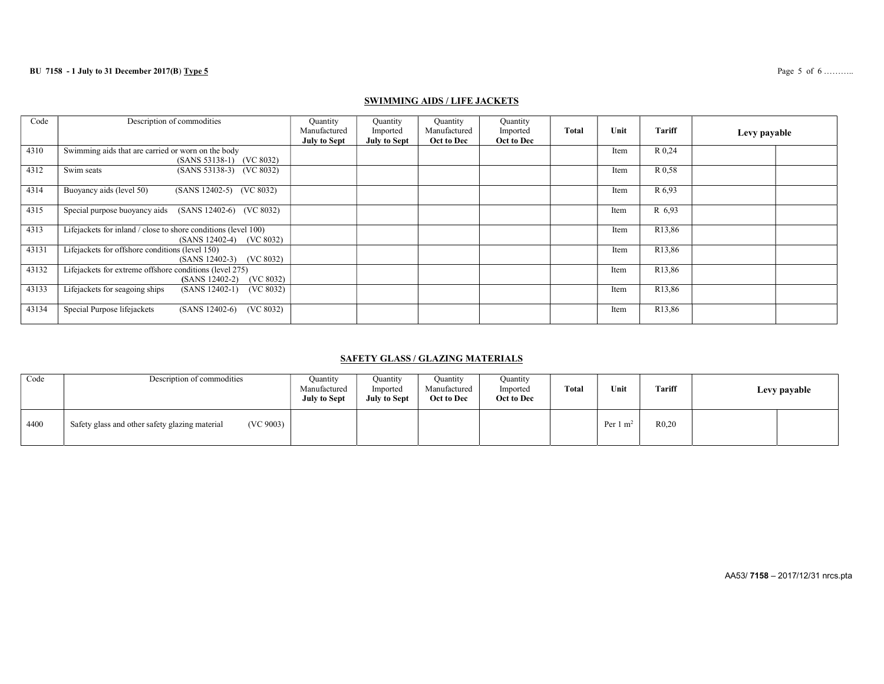#### BU 7158 - 1 July to 31 December 2017(B) Type 5 of 6 ..........

#### SWIMMING AIDS / LIFE JACKETS

| Code  | Description of commodities                                                                     | Quantity<br>Manufactured<br><b>July to Sept</b> | Quantity<br>Imported<br><b>July to Sept</b> | Quantity<br>Manufactured<br>Oct to Dec | Quantity<br>Imported<br>Oct to Dec | Total | Unit | <b>Tariff</b>       | Levy payable |  |
|-------|------------------------------------------------------------------------------------------------|-------------------------------------------------|---------------------------------------------|----------------------------------------|------------------------------------|-------|------|---------------------|--------------|--|
| 4310  | Swimming aids that are carried or worn on the body<br>(SANS 53138-1) (VC 8032)                 |                                                 |                                             |                                        |                                    |       | Item | R 0,24              |              |  |
| 4312  | Swim seats<br>(SANS 53138-3) (VC 8032)                                                         |                                                 |                                             |                                        |                                    |       | Item | R 0.58              |              |  |
| 4314  | Buoyancy aids (level 50)<br>(SANS 12402-5) (VC 8032)                                           |                                                 |                                             |                                        |                                    |       | Item | R 6,93              |              |  |
| 4315  | Special purpose buoyancy aids<br>$(SANS 12402-6)$ $(VC 8032)$                                  |                                                 |                                             |                                        |                                    |       | Item | R 6,93              |              |  |
| 4313  | Lifejackets for inland / close to shore conditions (level 100)<br>$(SANS 12402-4)$ $(VC 8032)$ |                                                 |                                             |                                        |                                    |       | Item | R13,86              |              |  |
| 43131 | Lifejackets for offshore conditions (level 150)<br>(VC 8032)<br>$(SANS 12402-3)$               |                                                 |                                             |                                        |                                    |       | Item | R13,86              |              |  |
| 43132 | Lifejackets for extreme offshore conditions (level 275)<br>(VC 8032)<br>$(SANS 12402-2)$       |                                                 |                                             |                                        |                                    |       | Item | R <sub>13</sub> ,86 |              |  |
| 43133 | Lifejackets for seagoing ships<br>$(SANS 12402-1)$<br>(VC 8032)                                |                                                 |                                             |                                        |                                    |       | Item | R <sub>13</sub> ,86 |              |  |
| 43134 | Special Purpose lifejackets<br>$(SANS 12402-6)$<br>(VC 8032)                                   |                                                 |                                             |                                        |                                    |       | Item | R <sub>13</sub> ,86 |              |  |

# SAFETY GLASS / GLAZING MATERIALS

| Code | Description of commodities                                  | Ouantity<br>Manufactured<br><b>July to Sept</b> | Ouantity<br>Imported<br><b>July to Sept</b> | Quantity<br>Manufactured<br>Oct to Dec | Quantity<br>Imported<br>Oct to Dec | <b>Total</b> | Unit                | Tariff            | Levy payable |  |
|------|-------------------------------------------------------------|-------------------------------------------------|---------------------------------------------|----------------------------------------|------------------------------------|--------------|---------------------|-------------------|--------------|--|
| 4400 | (VC 9003)<br>Safety glass and other safety glazing material |                                                 |                                             |                                        |                                    |              | Per $1 \text{ m}^2$ | R <sub>0.20</sub> |              |  |